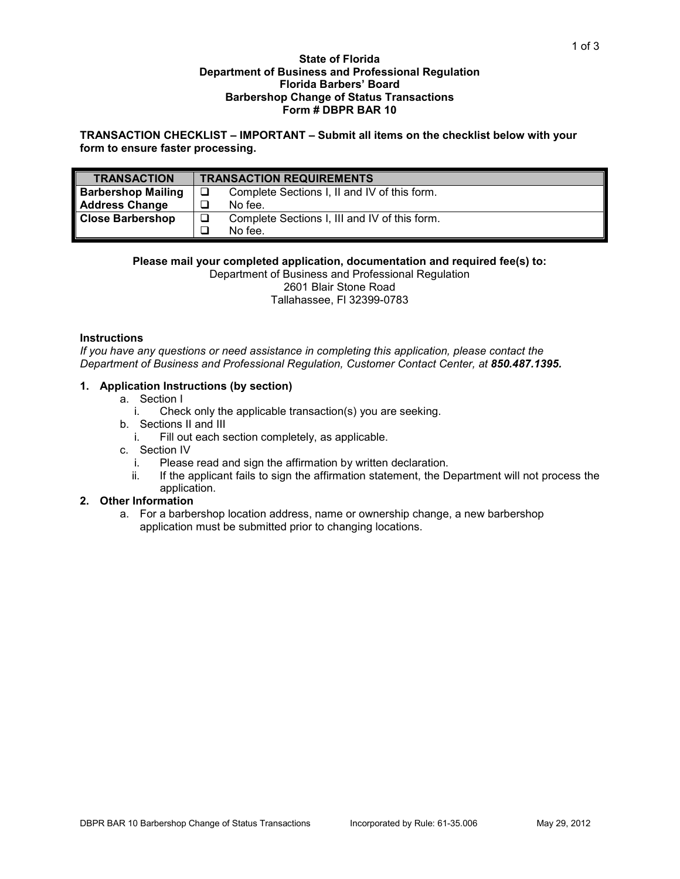### **State of Florida Department of Business and Professional Regulation Florida Barbers' Board Barbershop Change of Status Transactions Form # DBPR BAR 10**

**TRANSACTION CHECKLIST – IMPORTANT – Submit all items on the checklist below with your form to ensure faster processing.**

| <b>TRANSACTION</b>        | <b>TRANSACTION REQUIREMENTS</b> |                                               |
|---------------------------|---------------------------------|-----------------------------------------------|
| <b>Barbershop Mailing</b> | □                               | Complete Sections I, II and IV of this form.  |
| <b>Address Change</b>     |                                 | No fee.                                       |
| <b>Close Barbershop</b>   | ❏                               | Complete Sections I, III and IV of this form. |
|                           |                                 | No fee.                                       |

### **Please mail your completed application, documentation and required fee(s) to:**

Department of Business and Professional Regulation 2601 Blair Stone Road Tallahassee, Fl 32399-0783

## **Instructions**

*If you have any questions or need assistance in completing this application, please contact the Department of Business and Professional Regulation, Customer Contact Center, at 850.487.1395.*

### **1. Application Instructions (by section)**

- a. Section I
	- i. Check only the applicable transaction(s) you are seeking.
- b. Sections II and III
	- i. Fill out each section completely, as applicable.
- c. Section IV
	- i. Please read and sign the affirmation by written declaration.
	- ii. If the applicant fails to sign the affirmation statement, the Department will not process the application.

# **2. Other Information**

a. For a barbershop location address, name or ownership change, a new barbershop application must be submitted prior to changing locations.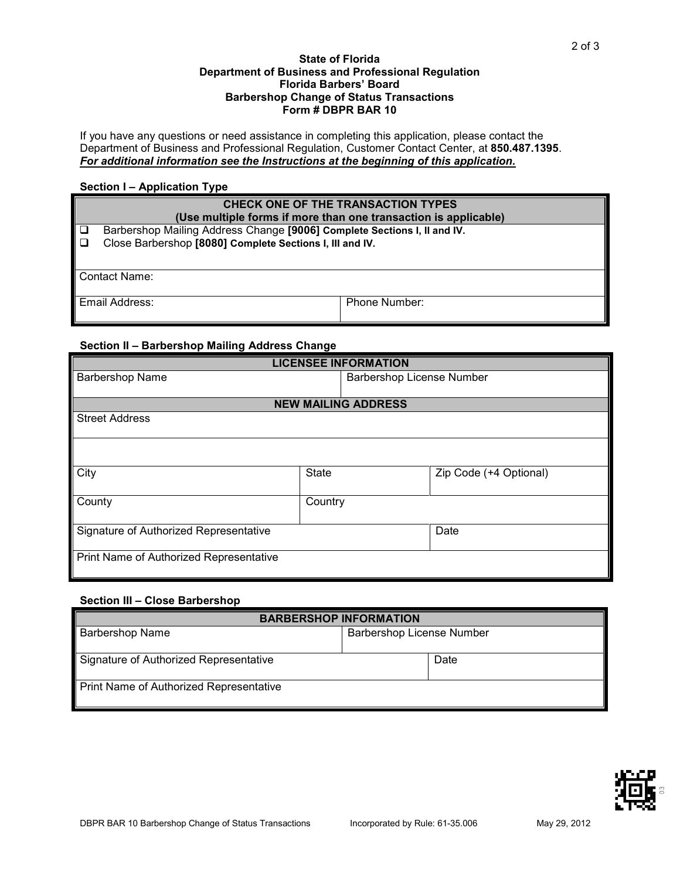## **State of Florida Department of Business and Professional Regulation Florida Barbers' Board Barbershop Change of Status Transactions Form # DBPR BAR 10**

If you have any questions or need assistance in completing this application, please contact the Department of Business and Professional Regulation, Customer Contact Center, at **850.487.1395**. *For additional information see the Instructions at the beginning of this application.*

# **Section I – Application Type**

|                  | CHECK ONE OF THE TRANSACTION TYPES<br>(Use multiple forms if more than one transaction is applicable)                                |               |  |  |  |  |  |
|------------------|--------------------------------------------------------------------------------------------------------------------------------------|---------------|--|--|--|--|--|
| $\Box$<br>$\Box$ | Barbershop Mailing Address Change [9006] Complete Sections I, II and IV.<br>Close Barbershop [8080] Complete Sections I, III and IV. |               |  |  |  |  |  |
|                  | Contact Name:                                                                                                                        |               |  |  |  |  |  |
| Email Address:   |                                                                                                                                      | Phone Number: |  |  |  |  |  |

# **Section II – Barbershop Mailing Address Change**

| <b>LICENSEE INFORMATION</b>             |                            |                                  |                        |  |  |  |  |  |
|-----------------------------------------|----------------------------|----------------------------------|------------------------|--|--|--|--|--|
| Barbershop Name                         |                            | <b>Barbershop License Number</b> |                        |  |  |  |  |  |
|                                         |                            |                                  |                        |  |  |  |  |  |
|                                         | <b>NEW MAILING ADDRESS</b> |                                  |                        |  |  |  |  |  |
| <b>Street Address</b>                   |                            |                                  |                        |  |  |  |  |  |
|                                         |                            |                                  |                        |  |  |  |  |  |
|                                         |                            |                                  |                        |  |  |  |  |  |
|                                         |                            |                                  |                        |  |  |  |  |  |
| City                                    | <b>State</b>               |                                  | Zip Code (+4 Optional) |  |  |  |  |  |
|                                         |                            |                                  |                        |  |  |  |  |  |
| County                                  | Country                    |                                  |                        |  |  |  |  |  |
|                                         |                            |                                  |                        |  |  |  |  |  |
| Signature of Authorized Representative  |                            | Date                             |                        |  |  |  |  |  |
|                                         |                            |                                  |                        |  |  |  |  |  |
| Print Name of Authorized Representative |                            |                                  |                        |  |  |  |  |  |
|                                         |                            |                                  |                        |  |  |  |  |  |

# **Section III – Close Barbershop**

| <b>BARBERSHOP INFORMATION</b>           |                                  |      |  |  |  |  |
|-----------------------------------------|----------------------------------|------|--|--|--|--|
| <b>Barbershop Name</b>                  | <b>Barbershop License Number</b> |      |  |  |  |  |
|                                         |                                  |      |  |  |  |  |
| Signature of Authorized Representative  |                                  | Date |  |  |  |  |
| Print Name of Authorized Representative |                                  |      |  |  |  |  |